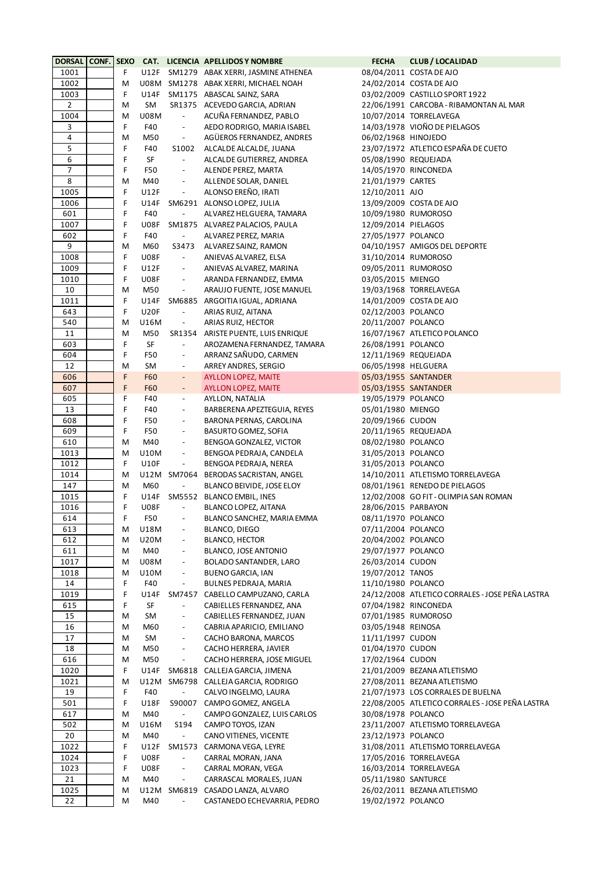| <b>DORSAL</b>  | <b>CONF. SEXO</b> |   |             |                          | <b>CAT. LICENCIA APELLIDOS Y NOMBRE</b> | <b>FECHA</b>         | <b>CLUB / LOCALIDAD</b>                         |
|----------------|-------------------|---|-------------|--------------------------|-----------------------------------------|----------------------|-------------------------------------------------|
| 1001           |                   | F |             |                          | U12F SM1279 ABAK XERRI, JASMINE ATHENEA |                      | 08/04/2011 COSTA DE AJO                         |
| 1002           |                   | M |             |                          | U08M SM1278 ABAK XERRI, MICHAEL NOAH    |                      | 24/02/2014 COSTA DE AJO                         |
| 1003           |                   | F |             |                          | U14F SM1175 ABASCAL SAINZ, SARA         |                      | 03/02/2009 CASTILLO SPORT 1922                  |
| $\overline{2}$ |                   | M | SM          |                          | SR1375 ACEVEDO GARCIA, ADRIAN           |                      | 22/06/1991 CARCOBA - RIBAMONTAN AL MAR          |
| 1004           |                   | M | <b>U08M</b> | $\overline{\phantom{a}}$ | ACUÑA FERNANDEZ, PABLO                  |                      | 10/07/2014 TORRELAVEGA                          |
| 3              |                   | F | F40         | $\overline{\phantom{a}}$ | AEDO RODRIGO, MARIA ISABEL              |                      | 14/03/1978 VIOÑO DE PIELAGOS                    |
| $\sqrt{4}$     |                   | M | M50         | $\overline{\phantom{a}}$ | AGÜEROS FERNANDEZ, ANDRES               | 06/02/1968 HINOJEDO  |                                                 |
| 5              |                   | F | F40         | S1002                    | ALCALDE ALCALDE, JUANA                  |                      | 23/07/1972 ATLETICO ESPAÑA DE CUETO             |
| 6              |                   | F | SF          | $\blacksquare$           | ALCALDE GUTIERREZ, ANDREA               | 05/08/1990 REQUEJADA |                                                 |
| $\overline{7}$ |                   | F |             |                          |                                         |                      |                                                 |
|                |                   |   | F50         | $\overline{\phantom{a}}$ | ALENDE PEREZ, MARTA                     |                      | 14/05/1970 RINCONEDA                            |
| 8              |                   | M | M40         | $\overline{\phantom{a}}$ | ALLENDE SOLAR, DANIEL                   | 21/01/1979 CARTES    |                                                 |
| 1005           |                   | F | U12F        | $\overline{\phantom{a}}$ | ALONSO EREÑO, IRATI                     | 12/10/2011 AJO       |                                                 |
| 1006           |                   | F |             |                          | U14F SM6291 ALONSO LOPEZ, JULIA         |                      | 13/09/2009 COSTA DE AJO                         |
| 601            |                   | F | F40         | $\overline{\phantom{a}}$ | ALVAREZ HELGUERA, TAMARA                |                      | 10/09/1980 RUMOROSO                             |
| 1007           |                   | F | <b>U08F</b> |                          | SM1875 ALVAREZ PALACIOS, PAULA          | 12/09/2014 PIELAGOS  |                                                 |
| 602            |                   | F | F40         | $\overline{\phantom{a}}$ | ALVAREZ PEREZ, MARIA                    | 27/05/1977 POLANCO   |                                                 |
| 9              |                   | M | M60         | S3473                    | ALVAREZ SAINZ, RAMON                    |                      | 04/10/1957 AMIGOS DEL DEPORTE                   |
| 1008           |                   | F | <b>U08F</b> | $\overline{\phantom{a}}$ | ANIEVAS ALVAREZ, ELSA                   |                      | 31/10/2014 RUMOROSO                             |
| 1009           |                   | F | U12F        | $\overline{\phantom{a}}$ | ANIEVAS ALVAREZ, MARINA                 |                      | 09/05/2011 RUMOROSO                             |
| 1010           |                   | F | <b>U08F</b> | $\blacksquare$           | ARANDA FERNANDEZ, EMMA                  | 03/05/2015 MIENGO    |                                                 |
| 10             |                   | M | M50         | $\overline{\phantom{a}}$ | ARAUJO FUENTE, JOSE MANUEL              |                      | 19/03/1968 TORRELAVEGA                          |
| 1011           |                   | F | U14F        |                          | SM6885 ARGOITIA IGUAL, ADRIANA          |                      | 14/01/2009 COSTA DE AJO                         |
| 643            |                   | F | <b>U20F</b> | $\overline{\phantom{a}}$ | ARIAS RUIZ, AITANA                      | 02/12/2003 POLANCO   |                                                 |
| 540            |                   | M | U16M        | $\blacksquare$           | ARIAS RUIZ, HECTOR                      | 20/11/2007 POLANCO   |                                                 |
| 11             |                   | M | M50         |                          | SR1354 ARISTE PUENTE, LUIS ENRIQUE      |                      | 16/07/1967 ATLETICO POLANCO                     |
| 603            |                   | F | SF          | $\overline{\phantom{a}}$ | AROZAMENA FERNANDEZ, TAMARA             | 26/08/1991 POLANCO   |                                                 |
| 604            |                   | F | F50         | $\overline{\phantom{a}}$ | ARRANZ SAÑUDO, CARMEN                   |                      | 12/11/1969 REQUEJADA                            |
| 12             |                   | M | SM          | $\overline{\phantom{a}}$ | ARREY ANDRES, SERGIO                    | 06/05/1998 HELGUERA  |                                                 |
| 606            |                   | F | <b>F60</b>  | $\blacksquare$           | <b>AYLLON LOPEZ, MAITE</b>              |                      | 05/03/1955 SANTANDER                            |
| 607            |                   | F |             |                          |                                         |                      |                                                 |
|                |                   |   | F60         | $\overline{\phantom{a}}$ | <b>AYLLON LOPEZ, MAITE</b>              |                      | 05/03/1955 SANTANDER                            |
| 605            |                   | F | F40         | $\overline{\phantom{a}}$ | AYLLON, NATALIA                         | 19/05/1979 POLANCO   |                                                 |
| 13             |                   | F | F40         | $\overline{\phantom{a}}$ | BARBERENA APEZTEGUIA, REYES             | 05/01/1980 MIENGO    |                                                 |
| 608            |                   | F | F50         | $\overline{\phantom{a}}$ | BARONA PERNAS, CAROLINA                 | 20/09/1966 CUDON     |                                                 |
| 609            |                   | F | F50         | $\overline{\phantom{a}}$ | <b>BASURTO GOMEZ, SOFIA</b>             |                      | 20/11/1965 REQUEJADA                            |
| 610            |                   | M | M40         | $\overline{\phantom{a}}$ | BENGOA GONZALEZ, VICTOR                 | 08/02/1980 POLANCO   |                                                 |
| 1013           |                   | M | U10M        | $\overline{\phantom{a}}$ | BENGOA PEDRAJA, CANDELA                 | 31/05/2013 POLANCO   |                                                 |
| 1012           |                   | F | <b>U10F</b> | $\overline{\phantom{a}}$ | BENGOA PEDRAJA, NEREA                   | 31/05/2013 POLANCO   |                                                 |
| 1014           |                   | M |             |                          | U12M SM7064 BERODAS SACRISTAN, ANGEL    |                      | 14/10/2011 ATLETISMO TORRELAVEGA                |
| 147            |                   | M | M60         | $\blacksquare$           | BLANCO BEIVIDE, JOSE ELOY               |                      | 08/01/1961 RENEDO DE PIELAGOS                   |
| 1015           |                   | F | U14F        |                          | SM5552 BLANCO EMBIL, INES               |                      | 12/02/2008 GO FIT - OLIMPIA SAN ROMAN           |
| 1016           |                   | F | <b>U08F</b> | $\overline{\phantom{a}}$ | BLANCO LOPEZ, AITANA                    | 28/06/2015 PARBAYON  |                                                 |
| 614            |                   | F | F50         | $\overline{\phantom{a}}$ | BLANCO SANCHEZ, MARIA EMMA              | 08/11/1970 POLANCO   |                                                 |
| 613            |                   | M | U18M        | $\overline{\phantom{a}}$ | BLANCO, DIEGO                           | 07/11/2004 POLANCO   |                                                 |
| 612            |                   | M | <b>U20M</b> | $\overline{\phantom{a}}$ | <b>BLANCO, HECTOR</b>                   | 20/04/2002 POLANCO   |                                                 |
| 611            |                   | Μ | M40         | $\overline{\phantom{a}}$ | BLANCO, JOSE ANTONIO                    | 29/07/1977 POLANCO   |                                                 |
| 1017           |                   | M | <b>U08M</b> | $\overline{\phantom{a}}$ | BOLADO SANTANDER, LARO                  | 26/03/2014 CUDON     |                                                 |
| 1018           |                   | M | U10M        | $\overline{\phantom{a}}$ | <b>BUENO GARCIA, IAN</b>                | 19/07/2012 TANOS     |                                                 |
| 14             |                   | F | F40         | $\Box$                   | BULNES PEDRAJA, MARIA                   | 11/10/1980 POLANCO   |                                                 |
| 1019           |                   | F | U14F        |                          | SM7457 CABELLO CAMPUZANO, CARLA         |                      | 24/12/2008 ATLETICO CORRALES - JOSE PEÑA LASTRA |
| 615            |                   | F | SF          | $\overline{\phantom{a}}$ | CABIELLES FERNANDEZ, ANA                |                      | 07/04/1982 RINCONEDA                            |
| 15             |                   | Μ | SM          | $\overline{\phantom{a}}$ | CABIELLES FERNANDEZ, JUAN               |                      | 07/01/1985 RUMOROSO                             |
| 16             |                   | Μ | M60         | $\overline{\phantom{a}}$ | CABRIA APARICIO, EMILIANO               | 03/05/1948 REINOSA   |                                                 |
|                |                   |   |             |                          |                                         |                      |                                                 |
| 17             |                   | Μ | SM          | $\overline{\phantom{a}}$ | CACHO BARONA, MARCOS                    | 11/11/1997 CUDON     |                                                 |
| 18             |                   | Μ | M50         | $\blacksquare$           | CACHO HERRERA, JAVIER                   | 01/04/1970 CUDON     |                                                 |
| 616            |                   | M | M50         | $\overline{\phantom{a}}$ | CACHO HERRERA, JOSE MIGUEL              | 17/02/1964 CUDON     |                                                 |
| 1020           |                   | F | U14F        |                          | SM6818 CALLEJA GARCIA, JIMENA           |                      | 21/01/2009 BEZANA ATLETISMO                     |
| 1021           |                   | M |             |                          | U12M SM6798 CALLEJA GARCIA, RODRIGO     |                      | 27/08/2011 BEZANA ATLETISMO                     |
| 19             |                   | F | F40         | $\overline{\phantom{a}}$ | CALVO INGELMO, LAURA                    |                      | 21/07/1973 LOS CORRALES DE BUELNA               |
| 501            |                   | F | <b>U18F</b> |                          | S90007 CAMPO GOMEZ, ANGELA              |                      | 22/08/2005 ATLETICO CORRALES - JOSE PEÑA LASTRA |
| 617            |                   | M | M40         | $\blacksquare$           | CAMPO GONZALEZ, LUIS CARLOS             | 30/08/1978 POLANCO   |                                                 |
| 502            |                   | M | U16M        | S194                     | CAMPO TOYOS, IZAN                       |                      | 23/11/2007 ATLETISMO TORRELAVEGA                |
| 20             |                   | M | M40         | $\overline{\phantom{a}}$ | CANO VITIENES, VICENTE                  | 23/12/1973 POLANCO   |                                                 |
| 1022           |                   | F | U12F        |                          | SM1573 CARMONA VEGA, LEYRE              |                      | 31/08/2011 ATLETISMO TORRELAVEGA                |
| 1024           |                   | F | <b>U08F</b> | $\overline{\phantom{a}}$ | CARRAL MORAN, JANA                      |                      | 17/05/2016 TORRELAVEGA                          |
| 1023           |                   | F | <b>U08F</b> | $\overline{\phantom{a}}$ | CARRAL MORAN, VEGA                      |                      | 16/03/2014 TORRELAVEGA                          |
| 21             |                   | M | M40         | $\blacksquare$           | CARRASCAL MORALES, JUAN                 | 05/11/1980 SANTURCE  |                                                 |
| 1025           |                   | M |             |                          | U12M SM6819 CASADO LANZA, ALVARO        |                      | 26/02/2011 BEZANA ATLETISMO                     |
| 22             |                   | M | M40         | $\overline{\phantom{a}}$ | CASTANEDO ECHEVARRIA, PEDRO             | 19/02/1972 POLANCO   |                                                 |
|                |                   |   |             |                          |                                         |                      |                                                 |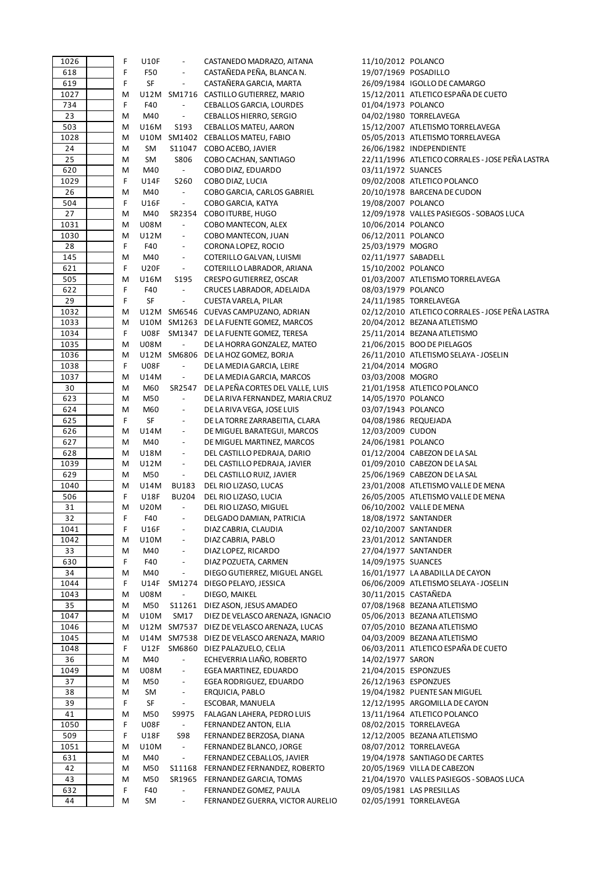| 1026      | F      | <b>U10F</b> | $\overline{\phantom{a}}$ | CASTANEDO MADRAZO, AITANA                                  | 11/10/2012 POLANCO   |                                                    |
|-----------|--------|-------------|--------------------------|------------------------------------------------------------|----------------------|----------------------------------------------------|
| 618       | F      | F50         | $\overline{\phantom{a}}$ | CASTAÑEDA PEÑA, BLANCA N.                                  | 19/07/1969 POSADILLO |                                                    |
| 619       | F      | SF          | $\overline{\phantom{a}}$ | CASTAÑERA GARCIA, MARTA                                    |                      | 26/09/1984 IGOLLO DE CAMARGO                       |
| 1027      | M      |             |                          | U12M SM1716 CASTILLO GUTIERREZ, MARIO                      |                      | 15/12/2011 ATLETICO ESPAÑA DE CUETO                |
| 734       | F      | F40         | $\overline{\phantom{a}}$ | CEBALLOS GARCIA, LOURDES                                   | 01/04/1973 POLANCO   |                                                    |
| 23        | М      | M40         | $\overline{\phantom{a}}$ | CEBALLOS HIERRO, SERGIO                                    |                      | 04/02/1980 TORRELAVEGA                             |
|           |        |             |                          |                                                            |                      |                                                    |
| 503       | М      | U16M        | S193                     | CEBALLOS MATEU, AARON                                      |                      | 15/12/2007 ATLETISMO TORRELAVEGA                   |
| 1028      | М      | U10M        |                          | SM1402 CEBALLOS MATEU, FABIO                               |                      | 05/05/2013 ATLETISMO TORRELAVEGA                   |
| 24        | М      | SM          | S11047                   | COBO ACEBO, JAVIER                                         |                      | 26/06/1982 INDEPENDIENTE                           |
| 25        | М      | SM          | S806                     | COBO CACHAN, SANTIAGO                                      |                      | 22/11/1996 ATLETICO CORRALES - JOSE PEÑA LASTRA    |
| 620       | М      | M40         | $\sim$                   | COBO DIAZ, EDUARDO                                         | 03/11/1972 SUANCES   |                                                    |
| 1029      | F      | U14F        | S260                     | COBO DIAZ, LUCIA                                           |                      | 09/02/2008 ATLETICO POLANCO                        |
| 26        | М      | M40         | $\blacksquare$           | COBO GARCIA, CARLOS GABRIEL                                |                      | 20/10/1978 BARCENA DE CUDON                        |
| 504       | F      | U16F        | $\overline{\phantom{a}}$ | COBO GARCIA, KATYA                                         | 19/08/2007 POLANCO   |                                                    |
| 27        |        |             |                          |                                                            |                      | 12/09/1978 VALLES PASIEGOS - SOBAOS LUCA           |
|           | M      | M40         | SR2354                   | COBO ITURBE, HUGO                                          |                      |                                                    |
| 1031      | М      | <b>U08M</b> | $\overline{\phantom{a}}$ | COBO MANTECON, ALEX                                        | 10/06/2014 POLANCO   |                                                    |
| 1030      | М      | U12M        | $\overline{\phantom{a}}$ | COBO MANTECON, JUAN                                        | 06/12/2011 POLANCO   |                                                    |
| 28        | F      | F40         | $\overline{\phantom{a}}$ | CORONA LOPEZ, ROCIO                                        | 25/03/1979 MOGRO     |                                                    |
| 145       | M      | M40         | $\overline{\phantom{a}}$ | COTERILLO GALVAN, LUISMI                                   | 02/11/1977 SABADELL  |                                                    |
| 621       | F      | <b>U20F</b> | $\blacksquare$           | COTERILLO LABRADOR, ARIANA                                 | 15/10/2002 POLANCO   |                                                    |
| 505       | М      | U16M        | S195                     | CRESPO GUTIERREZ, OSCAR                                    |                      | 01/03/2007 ATLETISMO TORRELAVEGA                   |
| 622       | F      | F40         | $\blacksquare$           | CRUCES LABRADOR, ADELAIDA                                  | 08/03/1979 POLANCO   |                                                    |
| 29        | F      | SF          | $\overline{\phantom{a}}$ | CUESTA VARELA, PILAR                                       |                      |                                                    |
|           |        |             |                          |                                                            |                      | 24/11/1985 TORRELAVEGA                             |
| 1032      | M      |             |                          | U12M SM6546 CUEVAS CAMPUZANO, ADRIAN                       |                      | 02/12/2010 ATLETICO CORRALES - JOSE PEÑA LASTRA    |
| 1033      | М      |             |                          | U10M SM1263 DE LA FUENTE GOMEZ, MARCOS                     |                      | 20/04/2012 BEZANA ATLETISMO                        |
| 1034      | F      |             |                          | U08F SM1347 DE LA FUENTE GOMEZ, TERESA                     |                      | 25/11/2014 BEZANA ATLETISMO                        |
| 1035      | M      | <b>U08M</b> | $\overline{\phantom{a}}$ | DE LA HORRA GONZALEZ, MATEO                                |                      | 21/06/2015 BOO DE PIELAGOS                         |
| 1036      | M      |             |                          | U12M SM6806 DE LA HOZ GOMEZ, BORJA                         |                      | 26/11/2010 ATLETISMO SELAYA - JOSELIN              |
| 1038      | F      | <b>U08F</b> | $\blacksquare$           | DE LA MEDIA GARCIA, LEIRE                                  | 21/04/2014 MOGRO     |                                                    |
| 1037      | М      | U14M        | $\blacksquare$           | DE LA MEDIA GARCIA, MARCOS                                 | 03/03/2008 MOGRO     |                                                    |
| 30        | М      | M60         | SR2547                   | DE LA PEÑA CORTES DEL VALLE, LUIS                          |                      | 21/01/1958 ATLETICO POLANCO                        |
|           |        |             |                          |                                                            |                      |                                                    |
| 623       | М      | M50         | $\overline{\phantom{a}}$ | DE LA RIVA FERNANDEZ, MARIA CRUZ                           | 14/05/1970 POLANCO   |                                                    |
| 624       | M      | M60         | $\overline{\phantom{a}}$ | DE LA RIVA VEGA, JOSE LUIS                                 | 03/07/1943 POLANCO   |                                                    |
| 625       | F      | SF          | $\overline{\phantom{a}}$ | DE LA TORRE ZARRABEITIA, CLARA                             | 04/08/1986 REQUEJADA |                                                    |
| 626       | М      | U14M        | $\overline{\phantom{a}}$ | DE MIGUEL BARATEGUI, MARCOS                                | 12/03/2009 CUDON     |                                                    |
| 627       | M      | M40         | $\overline{\phantom{a}}$ | DE MIGUEL MARTINEZ, MARCOS                                 | 24/06/1981 POLANCO   |                                                    |
| 628       | M      | U18M        | $\overline{\phantom{a}}$ | DEL CASTILLO PEDRAJA, DARIO                                |                      | 01/12/2004 CABEZON DE LA SAL                       |
| 1039      | M      | U12M        | $\overline{\phantom{a}}$ | DEL CASTILLO PEDRAJA, JAVIER                               |                      | 01/09/2010 CABEZON DE LA SAL                       |
| 629       | М      | M50         | $\blacksquare$           | DEL CASTILLO RUIZ, JAVIER                                  |                      | 25/06/1969 CABEZON DE LA SAL                       |
| 1040      | М      | U14M        | <b>BU183</b>             | DEL RIO LIZASO, LUCAS                                      |                      | 23/01/2008 ATLETISMO VALLE DE MENA                 |
|           |        |             |                          |                                                            |                      |                                                    |
| 506       | F      | <b>U18F</b> | <b>BU204</b>             | DEL RIO LIZASO, LUCIA                                      |                      | 26/05/2005 ATLETISMO VALLE DE MENA                 |
| 31        | M      | U20M        | $\overline{\phantom{a}}$ | DEL RIO LIZASO, MIGUEL                                     |                      | 06/10/2002 VALLE DE MENA                           |
| 32        | F      | F40         | $\overline{\phantom{a}}$ | DELGADO DAMIAN, PATRICIA                                   | 18/08/1972 SANTANDER |                                                    |
| 1041      | F      | U16F        | $\overline{\phantom{a}}$ | DIAZ CABRIA, CLAUDIA                                       | 02/10/2007 SANTANDER |                                                    |
| 1042      | М      | <b>U10M</b> | $\overline{\phantom{a}}$ | DIAZ CABRIA, PABLO                                         | 23/01/2012 SANTANDER |                                                    |
| 33        | М      | M40         | $\overline{\phantom{a}}$ | DIAZ LOPEZ, RICARDO                                        | 27/04/1977 SANTANDER |                                                    |
| 630       | F      | F40         | $\overline{\phantom{a}}$ | DIAZ POZUETA, CARMEN                                       | 14/09/1975 SUANCES   |                                                    |
| 34        | M      | M40         | $\blacksquare$           | DIEGO GUTIERREZ, MIGUEL ANGEL                              |                      | 16/01/1977 LA ABADILLA DE CAYON                    |
|           |        |             |                          |                                                            |                      | 06/06/2009 ATLETISMO SELAYA - JOSELIN              |
| 1044      | F      | U14F        | SM1274                   | DIEGO PELAYO, JESSICA                                      |                      |                                                    |
| 1043      | М      | <b>U08M</b> | $\overline{\phantom{a}}$ | DIEGO, MAIKEL                                              | 30/11/2015 CASTAÑEDA |                                                    |
| 35        | M      | M50         |                          | S11261 DIEZ ASON, JESUS AMADEO                             |                      | 07/08/1968 BEZANA ATLETISMO                        |
| 1047      | Μ      | <b>U10M</b> | SM17                     | DIEZ DE VELASCO ARENAZA, IGNACIO                           |                      | 05/06/2013 BEZANA ATLETISMO                        |
| 1046      | M      |             |                          | U12M SM7537 DIEZ DE VELASCO ARENAZA, LUCAS                 |                      | 07/05/2010 BEZANA ATLETISMO                        |
| 1045      | M      |             |                          | U14M SM7538 DIEZ DE VELASCO ARENAZA, MARIO                 |                      | 04/03/2009 BEZANA ATLETISMO                        |
| 1048      | F      | U12F        |                          | SM6860 DIEZ PALAZUELO, CELIA                               |                      | 06/03/2011 ATLETICO ESPAÑA DE CUETO                |
| 36        | M      | M40         | $\overline{\phantom{a}}$ | ECHEVERRIA LIAÑO, ROBERTO                                  | 14/02/1977 SARON     |                                                    |
| 1049      |        | <b>U08M</b> | $\overline{\phantom{a}}$ | EGEA MARTINEZ, EDUARDO                                     | 21/04/2015 ESPONZUES |                                                    |
|           | Μ      |             |                          |                                                            |                      |                                                    |
| 37        | М      | M50         | $\overline{\phantom{a}}$ | EGEA RODRIGUEZ, EDUARDO                                    | 26/12/1963 ESPONZUES |                                                    |
| 38        | М      | SM          | $\overline{\phantom{a}}$ | ERQUICIA, PABLO                                            |                      | 19/04/1982 PUENTE SAN MIGUEL                       |
| 39        | F      | SF          | $\blacksquare$           | ESCOBAR, MANUELA                                           |                      | 12/12/1995 ARGOMILLA DE CAYON                      |
| 41        | М      | M50         | S9975                    | FALAGAN LAHERA, PEDRO LUIS                                 |                      | 13/11/1964 ATLETICO POLANCO                        |
| 1050      | F      | <b>U08F</b> | $\blacksquare$           | FERNANDEZ ANTON, ELIA                                      |                      | 08/02/2015 TORRELAVEGA                             |
| 509       | F      | U18F        | <b>S98</b>               | FERNANDEZ BERZOSA, DIANA                                   |                      | 12/12/2005 BEZANA ATLETISMO                        |
| 1051      | M      | U10M        | $\blacksquare$           | FERNANDEZ BLANCO, JORGE                                    |                      | 08/07/2012 TORRELAVEGA                             |
| 631       | Μ      | M40         | $\overline{\phantom{a}}$ | FERNANDEZ CEBALLOS, JAVIER                                 |                      | 19/04/1978 SANTIAGO DE CARTES                      |
| 42        |        |             |                          |                                                            |                      |                                                    |
|           | М      | M50         |                          | S11168 FERNANDEZ FERNANDEZ, ROBERTO                        |                      | 20/05/1969 VILLA DE CABEZON                        |
|           |        |             |                          |                                                            |                      |                                                    |
| 43        | Μ      | M50         |                          | SR1965 FERNANDEZ GARCIA, TOMAS                             |                      | 21/04/1970 VALLES PASIEGOS - SOBAOS LUCA           |
| 632<br>44 | F<br>M | F40<br>SM   | $\overline{\phantom{a}}$ | FERNANDEZ GOMEZ, PAULA<br>FERNANDEZ GUERRA, VICTOR AURELIO |                      | 09/05/1981 LAS PRESILLAS<br>02/05/1991 TORRELAVEGA |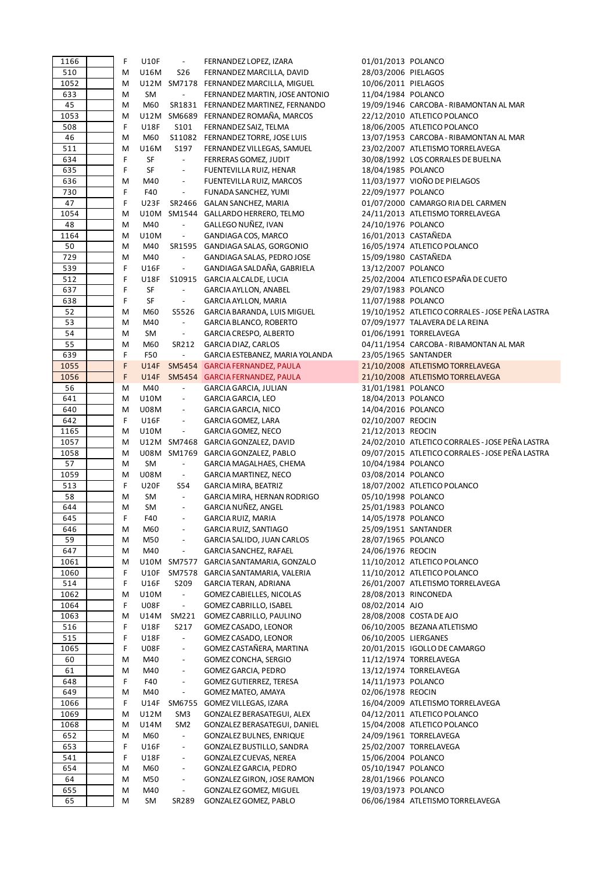| 1166      | F      | <b>U10F</b> | $\overline{\phantom{a}}$          | FERNANDEZ LOPEZ, IZARA                          | 01/01/2013 POLANCO   |                                                 |
|-----------|--------|-------------|-----------------------------------|-------------------------------------------------|----------------------|-------------------------------------------------|
| 510       | M      | U16M        | S26                               | FERNANDEZ MARCILLA, DAVID                       | 28/03/2006 PIELAGOS  |                                                 |
| 1052      | M      |             |                                   | U12M SM7178 FERNANDEZ MARCILLA, MIGUEL          | 10/06/2011 PIELAGOS  |                                                 |
| 633       | M      | SM          | $\overline{\phantom{a}}$          | FERNANDEZ MARTIN, JOSE ANTONIO                  | 11/04/1984 POLANCO   |                                                 |
| 45        | M      | M60         |                                   | SR1831 FERNANDEZ MARTINEZ, FERNANDO             |                      | 19/09/1946 CARCOBA - RIBAMONTAN AL MAR          |
| 1053      | M      |             |                                   | U12M SM6689 FERNANDEZ ROMAÑA, MARCOS            |                      | 22/12/2010 ATLETICO POLANCO                     |
| 508       | F      | <b>U18F</b> | S101                              | FERNANDEZ SAIZ, TELMA                           |                      | 18/06/2005 ATLETICO POLANCO                     |
| 46        | M      | M60         |                                   | S11082 FERNANDEZ TORRE, JOSE LUIS               |                      | 13/07/1953 CARCOBA - RIBAMONTAN AL MAR          |
| 511       | M      | U16M        | S197                              | FERNANDEZ VILLEGAS, SAMUEL                      |                      | 23/02/2007 ATLETISMO TORRELAVEGA                |
| 634       | F      | SF          | $\blacksquare$                    |                                                 |                      | 30/08/1992 LOS CORRALES DE BUELNA               |
|           |        |             |                                   | FERRERAS GOMEZ, JUDIT                           |                      |                                                 |
| 635       | F      | SF          | $\blacksquare$                    | FUENTEVILLA RUIZ, HENAR                         | 18/04/1985 POLANCO   |                                                 |
| 636       | M      | M40         | $\overline{\phantom{a}}$          | FUENTEVILLA RUIZ, MARCOS                        |                      | 11/03/1977 VIOÑO DE PIELAGOS                    |
| 730       | F      | F40         | $\overline{\phantom{a}}$          | FUNADA SANCHEZ, YUMI                            | 22/09/1977 POLANCO   |                                                 |
| 47        | F      | <b>U23F</b> |                                   | SR2466 GALAN SANCHEZ, MARIA                     |                      | 01/07/2000 CAMARGO RIA DEL CARMEN               |
| 1054      | M      |             |                                   | U10M SM1544 GALLARDO HERRERO, TELMO             |                      | 24/11/2013 ATLETISMO TORRELAVEGA                |
| 48        | M      | M40         | $\overline{\phantom{a}}$          | GALLEGO NUÑEZ, IVAN                             | 24/10/1976 POLANCO   |                                                 |
| 1164      | M      | U10M        | $\Box$                            | GANDIAGA COS, MARCO                             | 16/01/2013 CASTAÑEDA |                                                 |
| 50        | M      | M40         |                                   | SR1595 GANDIAGA SALAS, GORGONIO                 |                      | 16/05/1974 ATLETICO POLANCO                     |
| 729       | M      | M40         | $\overline{\phantom{a}}$          | GANDIAGA SALAS, PEDRO JOSE                      | 15/09/1980 CASTAÑEDA |                                                 |
| 539       | F      | U16F        | $\overline{\phantom{a}}$          | GANDIAGA SALDAÑA, GABRIELA                      | 13/12/2007 POLANCO   |                                                 |
| 512       | F      | <b>U18F</b> |                                   | S10915 GARCIA ALCALDE, LUCIA                    |                      | 25/02/2004 ATLETICO ESPAÑA DE CUETO             |
| 637       | F      | SF          | $\overline{\phantom{a}}$          | <b>GARCIA AYLLON, ANABEL</b>                    | 29/07/1983 POLANCO   |                                                 |
|           |        |             |                                   |                                                 |                      |                                                 |
| 638       | F      | SF          | $\blacksquare$                    | <b>GARCIA AYLLON, MARIA</b>                     | 11/07/1988 POLANCO   |                                                 |
| 52        | M      | M60         | S5526                             | GARCIA BARANDA, LUIS MIGUEL                     |                      | 19/10/1952 ATLETICO CORRALES - JOSE PEÑA LASTRA |
| 53        | M      | M40         | $\overline{\phantom{a}}$          | GARCIA BLANCO, ROBERTO                          |                      | 07/09/1977 TALAVERA DE LA REINA                 |
| 54        | M      | SM          | $\overline{\phantom{a}}$          | GARCIA CRESPO, ALBERTO                          |                      | 01/06/1991 TORRELAVEGA                          |
| 55        | M      | M60         | SR212                             | GARCIA DIAZ, CARLOS                             |                      | 04/11/1954 CARCOBA - RIBAMONTAN AL MAR          |
| 639       | F      | F50         | $\overline{\phantom{a}}$          | GARCIA ESTEBANEZ, MARIA YOLANDA                 | 23/05/1965 SANTANDER |                                                 |
| 1055      | F      | <b>U14F</b> |                                   | SM5454 GARCIA FERNANDEZ, PAULA                  |                      | 21/10/2008 ATLETISMO TORRELAVEGA                |
| 1056      | F      |             |                                   | U14F SM5454 GARCIA FERNANDEZ, PAULA             |                      | 21/10/2008 ATLETISMO TORRELAVEGA                |
| 56        | M      | M40         | $\overline{\phantom{a}}$          | GARCIA GARCIA, JULIAN                           | 31/01/1981 POLANCO   |                                                 |
| 641       | M      | <b>U10M</b> | $\overline{\phantom{a}}$          | <b>GARCIA GARCIA, LEO</b>                       | 18/04/2013 POLANCO   |                                                 |
| 640       | M      | U08M        | $\overline{\phantom{a}}$          | GARCIA GARCIA, NICO                             | 14/04/2016 POLANCO   |                                                 |
| 642       | F      | <b>U16F</b> | $\overline{\phantom{a}}$          | GARCIA GOMEZ, LARA                              | 02/10/2007 REOCIN    |                                                 |
| 1165      | M      | U10M        | $\overline{\phantom{a}}$          | GARCIA GOMEZ, NECO                              | 21/12/2013 REOCIN    |                                                 |
| 1057      | M      |             |                                   | U12M SM7468 GARCIA GONZALEZ, DAVID              |                      | 24/02/2010 ATLETICO CORRALES - JOSE PEÑA LASTRA |
|           |        |             |                                   |                                                 |                      | 09/07/2015 ATLETICO CORRALES - JOSE PEÑA LASTRA |
| 1058      | M      |             |                                   | U08M SM1769 GARCIA GONZALEZ, PABLO              |                      |                                                 |
| 57        | M      | SM          | $\overline{\phantom{a}}$          | GARCIA MAGALHAES, CHEMA                         | 10/04/1984 POLANCO   |                                                 |
| 1059      | M      | <b>U08M</b> | $\blacksquare$                    | GARCIA MARTINEZ, NECO                           | 03/08/2014 POLANCO   |                                                 |
| 513       | F      | <b>U20F</b> | S54                               | <b>GARCIA MIRA, BEATRIZ</b>                     |                      | 18/07/2002 ATLETICO POLANCO                     |
| 58        | M      | SM          | $\blacksquare$                    | GARCIA MIRA, HERNAN RODRIGO                     | 05/10/1998 POLANCO   |                                                 |
| 644       | M      | SM          | $\overline{\phantom{a}}$          | GARCIA NUÑEZ, ANGEL                             | 25/01/1983 POLANCO   |                                                 |
| 645       | F      | F40         | $\overline{\phantom{a}}$          | <b>GARCIA RUIZ, MARIA</b>                       | 14/05/1978 POLANCO   |                                                 |
| 646       | Μ      | M60         | $\overline{\phantom{a}}$          | GARCIA RUIZ, SANTIAGO                           | 25/09/1951 SANTANDER |                                                 |
| 59        | Μ      | M50         | $\overline{\phantom{a}}$          | GARCIA SALIDO, JUAN CARLOS                      | 28/07/1965 POLANCO   |                                                 |
| 647       | Μ      | M40         | $\overline{\phantom{a}}$          | <b>GARCIA SANCHEZ, RAFAEL</b>                   | 24/06/1976 REOCIN    |                                                 |
| 1061      | M      |             |                                   | U10M SM7577 GARCIA SANTAMARIA, GONZALO          |                      | 11/10/2012 ATLETICO POLANCO                     |
| 1060      | F      | <b>U10F</b> |                                   | SM7578 GARCIA SANTAMARIA, VALERIA               |                      | 11/10/2012 ATLETICO POLANCO                     |
| 514       | F      | U16F        |                                   |                                                 |                      |                                                 |
| 1062      |        |             |                                   |                                                 |                      |                                                 |
| 1064      |        |             | S209                              | GARCIA TERAN, ADRIANA                           |                      | 26/01/2007 ATLETISMO TORRELAVEGA                |
| 1063      | M      | U10M        | $\blacksquare$                    | GOMEZ CABIELLES, NICOLAS                        | 28/08/2013 RINCONEDA |                                                 |
|           | F      | <b>U08F</b> | $\overline{\phantom{a}}$          | <b>GOMEZ CABRILLO, ISABEL</b>                   | 08/02/2014 AJO       |                                                 |
|           | M      | U14M        | SM221                             | GOMEZ CABRILLO, PAULINO                         |                      | 28/08/2008 COSTA DE AJO                         |
| 516       | F      | <b>U18F</b> | S217                              | GOMEZ CASADO, LEONOR                            |                      | 06/10/2005 BEZANA ATLETISMO                     |
| 515       | F      | U18F        | $\overline{\phantom{a}}$          | GOMEZ CASADO, LEONOR                            | 06/10/2005 LIERGANES |                                                 |
| 1065      | F      | <b>U08F</b> | $\overline{\phantom{a}}$          | GOMEZ CASTAÑERA, MARTINA                        |                      | 20/01/2015 IGOLLO DE CAMARGO                    |
| 60        | M      | M40         | $\overline{\phantom{a}}$          | GOMEZ CONCHA, SERGIO                            |                      | 11/12/1974 TORRELAVEGA                          |
| 61        | Μ      | M40         | $\overline{\phantom{a}}$          | GOMEZ GARCIA, PEDRO                             |                      | 13/12/1974 TORRELAVEGA                          |
| 648       | F      | F40         | $\blacksquare$                    | GOMEZ GUTIERREZ, TERESA                         | 14/11/1973 POLANCO   |                                                 |
| 649       | Μ      | M40         | $\overline{\phantom{a}}$          | GOMEZ MATEO, AMAYA                              | 02/06/1978 REOCIN    |                                                 |
| 1066      | F      | <b>U14F</b> |                                   | SM6755 GOMEZ VILLEGAS, IZARA                    |                      | 16/04/2009 ATLETISMO TORRELAVEGA                |
|           |        |             |                                   |                                                 |                      |                                                 |
| 1069      | Μ      | U12M        | SM <sub>3</sub>                   | GONZALEZ BERASATEGUI, ALEX                      |                      | 04/12/2011 ATLETICO POLANCO                     |
| 1068      | M      | U14M        | SM <sub>2</sub>                   | GONZALEZ BERASATEGUI, DANIEL                    |                      | 15/04/2008 ATLETICO POLANCO                     |
| 652       | M      | M60         | $\overline{\phantom{a}}$          | GONZALEZ BULNES, ENRIQUE                        |                      | 24/09/1961 TORRELAVEGA                          |
| 653       | F      | U16F        | $\overline{\phantom{a}}$          | GONZALEZ BUSTILLO, SANDRA                       |                      | 25/02/2007 TORRELAVEGA                          |
| 541       | F      | U18F        | $\overline{\phantom{a}}$          | GONZALEZ CUEVAS, NEREA                          | 15/06/2004 POLANCO   |                                                 |
| 654       | Μ      | M60         | $\blacksquare$                    | GONZALEZ GARCIA, PEDRO                          | 05/10/1947 POLANCO   |                                                 |
| 64        | Μ      | M50         | $\overline{\phantom{a}}$          | GONZALEZ GIRON, JOSE RAMON                      | 28/01/1966 POLANCO   |                                                 |
| 655<br>65 | Μ<br>м | M40<br>SM   | $\overline{\phantom{a}}$<br>SR289 | GONZALEZ GOMEZ, MIGUEL<br>GONZALEZ GOMEZ, PABLO | 19/03/1973 POLANCO   | 06/06/1984 ATLETISMO TORRELAVEGA                |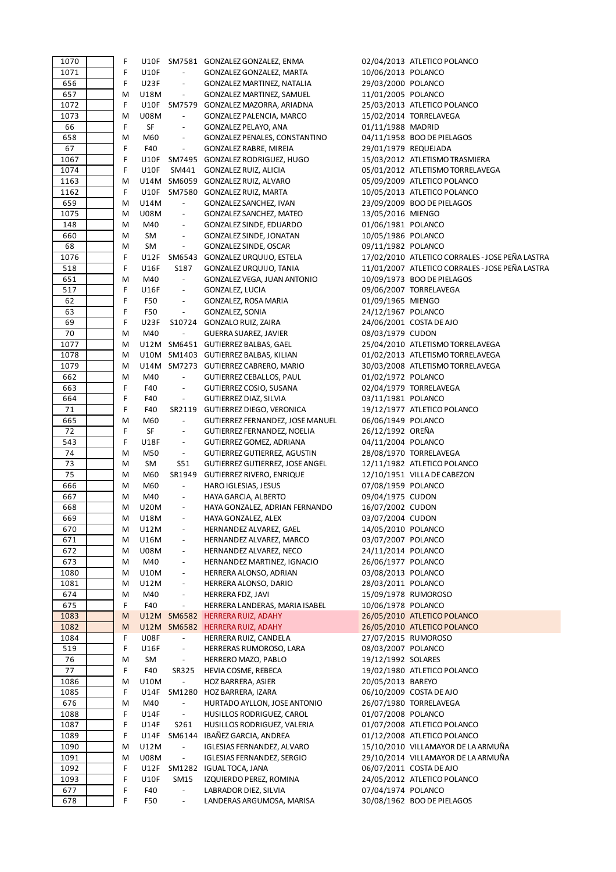| 1070       | F      |             |                                                      | U10F SM7581 GONZALEZ GONZALEZ, ENMA                |                      | 02/04/2013 ATLETICO POLANCO                     |
|------------|--------|-------------|------------------------------------------------------|----------------------------------------------------|----------------------|-------------------------------------------------|
| 1071       | F      | <b>U10F</b> | $\overline{\phantom{a}}$                             | GONZALEZ GONZALEZ, MARTA                           | 10/06/2013 POLANCO   |                                                 |
| 656        | F      | <b>U23F</b> | $\overline{\phantom{a}}$                             | GONZALEZ MARTINEZ, NATALIA                         | 29/03/2000 POLANCO   |                                                 |
| 657        | M      | U18M        | $\overline{\phantom{a}}$                             | GONZALEZ MARTINEZ, SAMUEL                          | 11/01/2005 POLANCO   |                                                 |
| 1072       | F      |             |                                                      | U10F SM7579 GONZALEZ MAZORRA, ARIADNA              |                      | 25/03/2013 ATLETICO POLANCO                     |
| 1073       | Μ      | U08M        | $\overline{\phantom{a}}$                             | GONZALEZ PALENCIA, MARCO                           |                      | 15/02/2014 TORRELAVEGA                          |
| 66         | F      | SF          |                                                      | GONZALEZ PELAYO, ANA                               | 01/11/1988 MADRID    |                                                 |
| 658        | М      | M60         | $\overline{\phantom{a}}$                             | GONZALEZ PENALES, CONSTANTINO                      |                      | 04/11/1958 BOO DE PIELAGOS                      |
| 67         | F      | F40         | $\overline{\phantom{a}}$                             | GONZALEZ RABRE, MIREIA                             | 29/01/1979 REQUEJADA |                                                 |
| 1067       | F      |             |                                                      | U10F SM7495 GONZALEZ RODRIGUEZ, HUGO               |                      | 15/03/2012 ATLETISMO TRASMIERA                  |
| 1074       | F      | <b>U10F</b> | SM441                                                | GONZALEZ RUIZ, ALICIA                              |                      | 05/01/2012 ATLETISMO TORRELAVEGA                |
| 1163       | M      |             |                                                      | U14M SM6059 GONZALEZ RUIZ, ALVARO                  |                      | 05/09/2009 ATLETICO POLANCO                     |
| 1162       | F      |             |                                                      | U10F SM7580 GONZALEZ RUIZ, MARTA                   |                      | 10/05/2013 ATLETICO POLANCO                     |
| 659        | М      | U14M        | $\overline{\phantom{a}}$                             | GONZALEZ SANCHEZ, IVAN                             |                      | 23/09/2009 BOO DE PIELAGOS                      |
| 1075       | М      | <b>U08M</b> | $\overline{\phantom{a}}$                             | GONZALEZ SANCHEZ, MATEO                            | 13/05/2016 MIENGO    |                                                 |
| 148        |        | M40         | $\overline{\phantom{a}}$                             |                                                    |                      |                                                 |
|            | М      |             | $\overline{\phantom{a}}$                             | GONZALEZ SINDE, EDUARDO                            | 01/06/1981 POLANCO   |                                                 |
| 660        | М      | SM          |                                                      | GONZALEZ SINDE, JONATAN                            | 10/05/1986 POLANCO   |                                                 |
| 68         | М      | SM          | $\overline{\phantom{a}}$                             | GONZALEZ SINDE, OSCAR                              | 09/11/1982 POLANCO   |                                                 |
| 1076       | F      |             |                                                      | U12F SM6543 GONZALEZ URQUIJO, ESTELA               |                      | 17/02/2010 ATLETICO CORRALES - JOSE PEÑA LASTRA |
| 518        | F      | <b>U16F</b> | S187                                                 | GONZALEZ URQUIJO, TANIA                            |                      | 11/01/2007 ATLETICO CORRALES - JOSE PEÑA LASTRA |
| 651        | M      | M40         | $\blacksquare$                                       | GONZALEZ VEGA, JUAN ANTONIO                        |                      | 10/09/1973 BOO DE PIELAGOS                      |
| 517        | F      | <b>U16F</b> | $\blacksquare$                                       | GONZALEZ, LUCIA                                    |                      | 09/06/2007 TORRELAVEGA                          |
| 62         | F      | F50         | $\overline{\phantom{a}}$                             | GONZALEZ, ROSA MARIA                               | 01/09/1965 MIENGO    |                                                 |
| 63         | F      | F50         | $\overline{\phantom{a}}$                             | GONZALEZ, SONIA                                    | 24/12/1967 POLANCO   |                                                 |
| 69         | F      | <b>U23F</b> |                                                      | S10724 GONZALO RUIZ, ZAIRA                         |                      | 24/06/2001 COSTA DE AJO                         |
| 70         | М      | M40         | $\overline{\phantom{a}}$                             | GUERRA SUAREZ, JAVIER                              | 08/03/1979 CUDON     |                                                 |
| 1077       | M      |             |                                                      | U12M SM6451 GUTIERREZ BALBAS, GAEL                 |                      | 25/04/2010 ATLETISMO TORRELAVEGA                |
| 1078       | М      |             |                                                      | U10M SM1403 GUTIERREZ BALBAS, KILIAN               |                      | 01/02/2013 ATLETISMO TORRELAVEGA                |
| 1079       | M      |             |                                                      | U14M SM7273 GUTIERREZ CABRERO, MARIO               |                      | 30/03/2008 ATLETISMO TORRELAVEGA                |
| 662        | Μ      | M40         | $\overline{\phantom{a}}$                             | GUTIERREZ CEBALLOS, PAUL                           | 01/02/1972 POLANCO   |                                                 |
| 663        | F      | F40         | $\overline{\phantom{a}}$                             | GUTIERREZ COSIO, SUSANA                            |                      | 02/04/1979 TORRELAVEGA                          |
| 664        | F      | F40         | $\overline{\phantom{a}}$                             | GUTIERREZ DIAZ, SILVIA                             | 03/11/1981 POLANCO   |                                                 |
| 71         | F      | F40         |                                                      | SR2119 GUTIERREZ DIEGO, VERONICA                   |                      | 19/12/1977 ATLETICO POLANCO                     |
| 665        | М      | M60         | $\overline{\phantom{a}}$                             | GUTIERREZ FERNANDEZ, JOSE MANUEL                   | 06/06/1949 POLANCO   |                                                 |
| 72         | F      | SF          | $\overline{\phantom{a}}$                             | GUTIERREZ FERNANDEZ, NOELIA                        | 26/12/1992 OREÑA     |                                                 |
| 543        | F      | U18F        | $\overline{\phantom{a}}$                             | GUTIERREZ GOMEZ, ADRIANA                           | 04/11/2004 POLANCO   |                                                 |
| 74         | M      | M50         | $\omega_{\rm c}$                                     | GUTIERREZ GUTIERREZ, AGUSTIN                       |                      | 28/08/1970 TORRELAVEGA                          |
| 73         | М      | SM          | S51                                                  | GUTIERREZ GUTIERREZ, JOSE ANGEL                    |                      | 12/11/1982 ATLETICO POLANCO                     |
| 75         | М      | M60         | SR1949                                               | GUTIERREZ RIVERO, ENRIQUE                          |                      | 12/10/1951 VILLA DE CABEZON                     |
| 666        | М      | M60         | $\overline{\phantom{a}}$                             | HARO IGLESIAS, JESUS                               | 07/08/1959 POLANCO   |                                                 |
| 667        | M      | M40         | $\overline{\phantom{a}}$                             | HAYA GARCIA, ALBERTO                               | 09/04/1975 CUDON     |                                                 |
| 668        | М      | U20M        | $\overline{\phantom{a}}$                             | HAYA GONZALEZ, ADRIAN FERNANDO                     | 16/07/2002 CUDON     |                                                 |
| 669        | M      | U18M        |                                                      | HAYA GONZALEZ, ALEX                                | 03/07/2004 CUDON     |                                                 |
|            |        |             |                                                      |                                                    |                      |                                                 |
| 670        | Μ      | U12M        | $\overline{\phantom{a}}$                             | HERNANDEZ ALVAREZ, GAEL                            | 14/05/2010 POLANCO   |                                                 |
| 671        | M      | U16M        | $\blacksquare$                                       | HERNANDEZ ALVAREZ, MARCO                           | 03/07/2007 POLANCO   |                                                 |
| 672        | Μ      | <b>U08M</b> | $\overline{\phantom{a}}$                             | HERNANDEZ ALVAREZ, NECO                            | 24/11/2014 POLANCO   |                                                 |
| 673        | Μ      | M40         | $\overline{\phantom{a}}$                             | HERNANDEZ MARTINEZ, IGNACIO                        | 26/06/1977 POLANCO   |                                                 |
| 1080       | Μ      | U10M        | $\overline{\phantom{a}}$                             | HERRERA ALONSO, ADRIAN                             | 03/08/2013 POLANCO   |                                                 |
| 1081       | M      | U12M        | $\overline{\phantom{a}}$                             | HERRERA ALONSO, DARIO                              | 28/03/2011 POLANCO   |                                                 |
| 674        | Μ      | M40         | $\overline{\phantom{a}}$                             | HERRERA FDZ, JAVI                                  |                      | 15/09/1978 RUMOROSO                             |
| 675        | F      |             |                                                      |                                                    |                      |                                                 |
| 1083       |        | F40         | $\overline{\phantom{a}}$                             | HERRERA LANDERAS, MARIA ISABEL                     | 10/06/1978 POLANCO   |                                                 |
| 1082       | M      |             |                                                      | U12M SM6582 HERRERA RUIZ, ADAHY                    |                      | 26/05/2010 ATLETICO POLANCO                     |
|            | M      |             |                                                      | U12M SM6582 HERRERA RUIZ, ADAHY                    |                      | 26/05/2010 ATLETICO POLANCO                     |
| 1084       | F      | <b>U08F</b> | $\overline{\phantom{a}}$                             | HERRERA RUIZ, CANDELA                              |                      | 27/07/2015 RUMOROSO                             |
| 519        | F      | U16F        | $\overline{\phantom{a}}$                             | HERRERAS RUMOROSO, LARA                            | 08/03/2007 POLANCO   |                                                 |
| 76         | М      | SM          | $\blacksquare$                                       | HERRERO MAZO, PABLO                                | 19/12/1992 SOLARES   |                                                 |
| 77         | F      | F40         | SR325                                                | HEVIA COSME, REBECA                                |                      | 19/02/1980 ATLETICO POLANCO                     |
| 1086       | Μ      | U10M        | $\blacksquare$                                       | HOZ BARRERA, ASIER                                 | 20/05/2013 BAREYO    |                                                 |
| 1085       | F      | U14F        | SM1280                                               | HOZ BARRERA, IZARA                                 |                      | 06/10/2009 COSTA DE AJO                         |
| 676        | М      | M40         | $\overline{\phantom{a}}$                             | HURTADO AYLLON, JOSE ANTONIO                       |                      | 26/07/1980 TORRELAVEGA                          |
| 1088       | F      | U14F        | $\overline{\phantom{a}}$                             | HUSILLOS RODRIGUEZ, CAROL                          | 01/07/2008 POLANCO   |                                                 |
|            | F      |             |                                                      |                                                    |                      |                                                 |
| 1087       |        | U14F        | S261                                                 | HUSILLOS RODRIGUEZ, VALERIA                        |                      | 01/07/2008 ATLETICO POLANCO                     |
| 1089       | F      | U14F        | SM6144                                               | IBAÑEZ GARCIA, ANDREA                              |                      | 01/12/2008 ATLETICO POLANCO                     |
| 1090       | M      | U12M        | $\overline{\phantom{a}}$                             | IGLESIAS FERNANDEZ, ALVARO                         |                      | 15/10/2010 VILLAMAYOR DE LA ARMUÑA              |
| 1091       | M      | <b>U08M</b> | $\Box$                                               | IGLESIAS FERNANDEZ, SERGIO                         |                      | 29/10/2014 VILLAMAYOR DE LA ARMUÑA              |
| 1092       | F      | U12F        |                                                      | SM1282 IGUAL TOCA, JANA                            |                      | 06/07/2011 COSTA DE AJO                         |
| 1093       | F      | <b>U10F</b> | SM15                                                 | IZQUIERDO PEREZ, ROMINA                            |                      | 24/05/2012 ATLETICO POLANCO                     |
| 677<br>678 | F<br>F | F40<br>F50  | $\overline{\phantom{a}}$<br>$\overline{\phantom{a}}$ | LABRADOR DIEZ, SILVIA<br>LANDERAS ARGUMOSA, MARISA | 07/04/1974 POLANCO   | 30/08/1962 BOO DE PIELAGOS                      |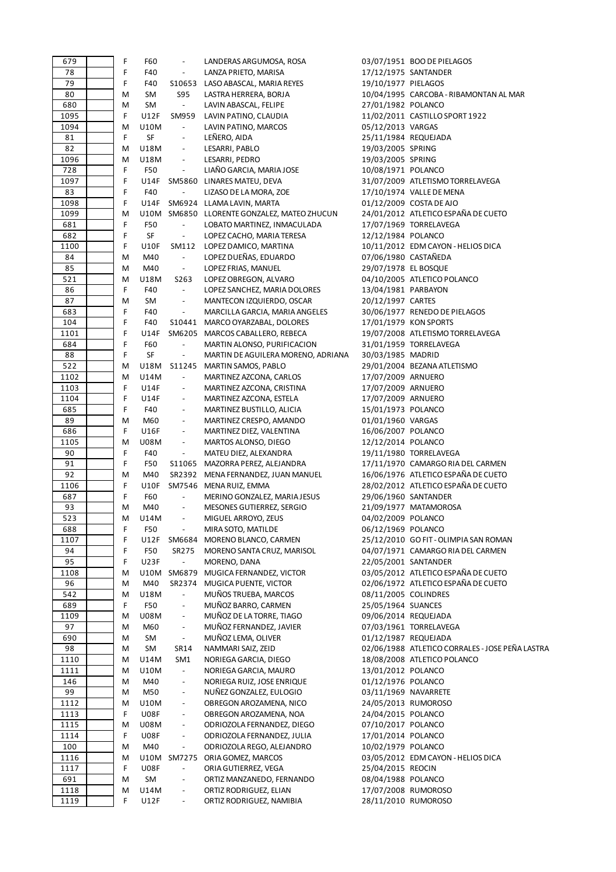| 679  | F | F60         | $\qquad \qquad -$         | LANDERAS ARGUMOSA, ROSA                     |                      | 03/07/1951 BOO DE PIELAGOS                      |
|------|---|-------------|---------------------------|---------------------------------------------|----------------------|-------------------------------------------------|
| 78   | F | F40         | $\overline{\phantom{0}}$  | LANZA PRIETO, MARISA                        |                      | 17/12/1975 SANTANDER                            |
| 79   | F | F40         |                           | S10653 LASO ABASCAL, MARIA REYES            | 19/10/1977 PIELAGOS  |                                                 |
| 80   | M | SM          | S95                       | LASTRA HERRERA, BORJA                       |                      | 10/04/1995 CARCOBA - RIBAMONTAN AL MAR          |
| 680  | M | SM          | $\mathbb{L}^{\mathbb{N}}$ | LAVIN ABASCAL, FELIPE                       | 27/01/1982 POLANCO   |                                                 |
| 1095 | F | U12F        | SM959                     | LAVIN PATINO, CLAUDIA                       |                      | 11/02/2011 CASTILLO SPORT 1922                  |
| 1094 | M | U10M        | $\overline{\phantom{a}}$  | LAVIN PATINO, MARCOS                        | 05/12/2013 VARGAS    |                                                 |
| 81   | F | SF          | $\frac{1}{2}$             | LEÑERO, AIDA                                | 25/11/1984 REQUEJADA |                                                 |
| 82   | M | U18M        | $\overline{\phantom{a}}$  | LESARRI, PABLO                              | 19/03/2005 SPRING    |                                                 |
| 1096 | M | U18M        | $\overline{\phantom{a}}$  | LESARRI, PEDRO                              | 19/03/2005 SPRING    |                                                 |
| 728  | F | F50         | $\overline{\phantom{m}}$  | LIAÑO GARCIA, MARIA JOSE                    | 10/08/1971 POLANCO   |                                                 |
| 1097 | F | U14F        |                           | SM5860 LINARES MATEU, DEVA                  |                      | 31/07/2009 ATLETISMO TORRELAVEGA                |
| 83   | F | F40         | $\overline{\phantom{a}}$  | LIZASO DE LA MORA, ZOE                      |                      | 17/10/1974 VALLE DE MENA                        |
| 1098 | F | U14F        |                           |                                             |                      | 01/12/2009 COSTA DE AJO                         |
|      |   |             |                           | SM6924 LLAMA LAVIN, MARTA                   |                      |                                                 |
| 1099 | M |             |                           | U10M SM6850 LLORENTE GONZALEZ, MATEO ZHUCUN |                      | 24/01/2012 ATLETICO ESPAÑA DE CUETO             |
| 681  | F | F50         | $\overline{\phantom{a}}$  | LOBATO MARTINEZ, INMACULADA                 |                      | 17/07/1969 TORRELAVEGA                          |
| 682  | F | SF          | $\overline{\phantom{a}}$  | LOPEZ CACHO, MARIA TERESA                   | 12/12/1984 POLANCO   |                                                 |
| 1100 | F | <b>U10F</b> | SM112                     | LOPEZ DAMICO, MARTINA                       |                      | 10/11/2012 EDM CAYON - HELIOS DICA              |
| 84   | M | M40         | $\blacksquare$            | LOPEZ DUEÑAS, EDUARDO                       | 07/06/1980 CASTAÑEDA |                                                 |
| 85   | M | M40         | $\blacksquare$            | LOPEZ FRIAS, MANUEL                         | 29/07/1978 EL BOSQUE |                                                 |
| 521  | M | U18M        | S263                      | LOPEZ OBREGON, ALVARO                       |                      | 04/10/2005 ATLETICO POLANCO                     |
| 86   | F | F40         | $\blacksquare$            | LOPEZ SANCHEZ, MARIA DOLORES                | 13/04/1981 PARBAYON  |                                                 |
| 87   | M | SM          |                           | MANTECON IZQUIERDO, OSCAR                   | 20/12/1997 CARTES    |                                                 |
| 683  | F | F40         | $\overline{\phantom{a}}$  | MARCILLA GARCIA, MARIA ANGELES              |                      | 30/06/1977 RENEDO DE PIELAGOS                   |
| 104  | F | F40         |                           | S10441 MARCO OYARZABAL, DOLORES             |                      | 17/01/1979 KON SPORTS                           |
| 1101 | F | U14F        |                           | SM6205 MARCOS CABALLERO, REBECA             |                      | 19/07/2008 ATLETISMO TORRELAVEGA                |
| 684  | F | F60         | $\blacksquare$            | MARTIN ALONSO, PURIFICACION                 |                      | 31/01/1959 TORRELAVEGA                          |
| 88   | F | SF          | $\overline{\phantom{a}}$  | MARTIN DE AGUILERA MORENO, ADRIANA          | 30/03/1985 MADRID    |                                                 |
| 522  | M | U18M        |                           | S11245 MARTIN SAMOS, PABLO                  |                      | 29/01/2004 BEZANA ATLETISMO                     |
| 1102 | M | U14M        | $\overline{\phantom{a}}$  | MARTINEZ AZCONA, CARLOS                     | 17/07/2009 ARNUERO   |                                                 |
| 1103 | F | U14F        |                           | MARTINEZ AZCONA, CRISTINA                   | 17/07/2009 ARNUERO   |                                                 |
| 1104 | F | U14F        | $\overline{\phantom{a}}$  | MARTINEZ AZCONA, ESTELA                     | 17/07/2009 ARNUERO   |                                                 |
| 685  | F | F40         | $\overline{\phantom{a}}$  | MARTINEZ BUSTILLO, ALICIA                   | 15/01/1973 POLANCO   |                                                 |
| 89   | М | M60         | $\overline{\phantom{a}}$  | MARTINEZ CRESPO, AMANDO                     | 01/01/1960 VARGAS    |                                                 |
| 686  | F | U16F        |                           | MARTINEZ DIEZ, VALENTINA                    | 16/06/2007 POLANCO   |                                                 |
| 1105 | M | U08M        | $\overline{\phantom{a}}$  | MARTOS ALONSO, DIEGO                        | 12/12/2014 POLANCO   |                                                 |
| 90   | F | F40         | $\overline{\phantom{a}}$  |                                             |                      | 19/11/1980 TORRELAVEGA                          |
| 91   | F |             |                           | MATEU DIEZ, ALEXANDRA                       |                      | 17/11/1970 CAMARGO RIA DEL CARMEN               |
|      |   | F50         |                           | S11065 MAZORRA PEREZ, ALEJANDRA             |                      |                                                 |
| 92   | M | M40         |                           | SR2392 MENA FERNANDEZ, JUAN MANUEL          |                      | 16/06/1976 ATLETICO ESPAÑA DE CUETO             |
| 1106 | F | U10F        |                           | SM7546 MENA RUIZ, EMMA                      |                      | 28/02/2012 ATLETICO ESPAÑA DE CUETO             |
| 687  | F | F60         | $\overline{\phantom{a}}$  | MERINO GONZALEZ, MARIA JESUS                | 29/06/1960 SANTANDER |                                                 |
| 93   | M | M40         | $\overline{\phantom{a}}$  | MESONES GUTIERREZ, SERGIO                   |                      | 21/09/1977 MATAMOROSA                           |
| 523  | M | U14M        |                           | MIGUEL ARROYO, ZEUS                         | 04/02/2009 POLANCO   |                                                 |
| 688  | F | F50         | $\overline{\phantom{a}}$  | MIRA SOTO, MATILDE                          | 06/12/1969 POLANCO   |                                                 |
| 1107 | F | U12F        | SM6684                    | MORENO BLANCO, CARMEN                       |                      | 25/12/2010 GO FIT - OLIMPIA SAN ROMAN           |
| 94   | F | F50         | SR275                     | MORENO SANTA CRUZ, MARISOL                  |                      | 04/07/1971 CAMARGO RIA DEL CARMEN               |
| 95   | F | <b>U23F</b> | $\overline{a}$            | MORENO, DANA                                | 22/05/2001 SANTANDER |                                                 |
| 1108 | M | U10M        | SM6879                    | MUGICA FERNANDEZ, VICTOR                    |                      | 03/05/2012 ATLETICO ESPAÑA DE CUETO             |
| 96   | M | M40         | SR2374                    | MUGICA PUENTE, VICTOR                       |                      | 02/06/1972 ATLETICO ESPAÑA DE CUETO             |
| 542  | М | U18M        | $\blacksquare$            | MUÑOS TRUEBA, MARCOS                        | 08/11/2005 COLINDRES |                                                 |
| 689  | F | F50         | $\overline{\phantom{a}}$  | MUÑOZ BARRO, CARMEN                         | 25/05/1964 SUANCES   |                                                 |
| 1109 | M | <b>U08M</b> | $\overline{\phantom{a}}$  | MUÑOZ DE LA TORRE, TIAGO                    | 09/06/2014 REQUEJADA |                                                 |
| 97   | M | M60         | $\overline{\phantom{a}}$  | MUÑOZ FERNANDEZ, JAVIER                     |                      | 07/03/1961 TORRELAVEGA                          |
| 690  | М | SM          | $\overline{\phantom{a}}$  | MUÑOZ LEMA, OLIVER                          | 01/12/1987 REQUEJADA |                                                 |
| 98   | M | SM          | SR14                      | NAMMARI SAIZ, ZEID                          |                      | 02/06/1988 ATLETICO CORRALES - JOSE PEÑA LASTRA |
| 1110 | M | U14M        | SM <sub>1</sub>           | NORIEGA GARCIA, DIEGO                       |                      | 18/08/2008 ATLETICO POLANCO                     |
| 1111 | M | U10M        | $\overline{\phantom{a}}$  | NORIEGA GARCIA, MAURO                       | 13/01/2012 POLANCO   |                                                 |
| 146  | M | M40         | $\overline{\phantom{a}}$  | NORIEGA RUIZ, JOSE ENRIQUE                  | 01/12/1976 POLANCO   |                                                 |
| 99   | M | M50         |                           | NUÑEZ GONZALEZ, EULOGIO                     | 03/11/1969 NAVARRETE |                                                 |
| 1112 | M | U10M        | $\frac{1}{2}$             | OBREGON AROZAMENA, NICO                     | 24/05/2013 RUMOROSO  |                                                 |
| 1113 | F | <b>U08F</b> | $\overline{\phantom{a}}$  | OBREGON AROZAMENA, NOA                      | 24/04/2015 POLANCO   |                                                 |
| 1115 | M | <b>U08M</b> | $\overline{\phantom{m}}$  | ODRIOZOLA FERNANDEZ, DIEGO                  | 07/10/2017 POLANCO   |                                                 |
| 1114 | F | <b>U08F</b> | $\overline{\phantom{a}}$  | ODRIOZOLA FERNANDEZ, JULIA                  | 17/01/2014 POLANCO   |                                                 |
| 100  | M | M40         | $\frac{1}{2}$             | ODRIOZOLA REGO, ALEJANDRO                   | 10/02/1979 POLANCO   |                                                 |
|      |   |             |                           |                                             |                      |                                                 |
| 1116 | M | U10M        | SM7275                    | ORIA GOMEZ, MARCOS                          |                      | 03/05/2012 EDM CAYON - HELIOS DICA              |
| 1117 | F | <b>U08F</b> | $\overline{\phantom{a}}$  | ORIA GUTIERREZ, VEGA                        | 25/04/2015 REOCIN    |                                                 |
| 691  | M | SM          |                           | ORTIZ MANZANEDO, FERNANDO                   | 08/04/1988 POLANCO   |                                                 |
| 1118 | M | U14M        | $\overline{\phantom{a}}$  | ORTIZ RODRIGUEZ, ELIAN                      | 17/07/2008 RUMOROSO  |                                                 |
| 1119 | F | U12F        | $\overline{\phantom{a}}$  | ORTIZ RODRIGUEZ, NAMIBIA                    | 28/11/2010 RUMOROSO  |                                                 |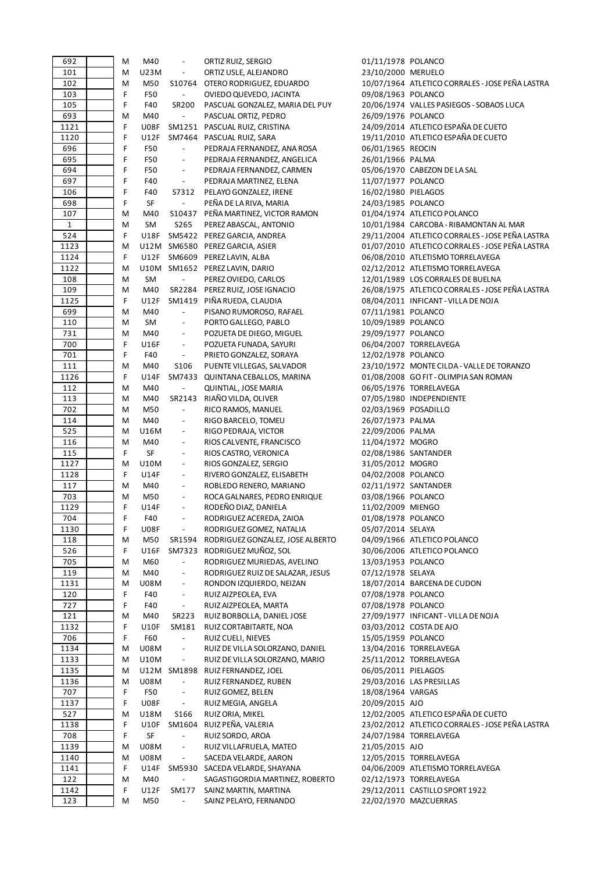| 692          | M | M40         | $\overline{\phantom{a}}$    | ORTIZ RUIZ, SERGIO                  | 01/11/1978 POLANCO   |                                                 |
|--------------|---|-------------|-----------------------------|-------------------------------------|----------------------|-------------------------------------------------|
| 101          | M | U23M        | $\overline{\phantom{a}}$    | ORTIZ USLE, ALEJANDRO               | 23/10/2000 MERUELO   |                                                 |
| 102          | M | M50         |                             | S10764 OTERO RODRIGUEZ, EDUARDO     |                      | 10/07/1964 ATLETICO CORRALES - JOSE PEÑA LASTRA |
| 103          | F | F50         | $\mathcal{L}_{\mathcal{A}}$ | OVIEDO QUEVEDO, JACINTA             | 09/08/1963 POLANCO   |                                                 |
| 105          | F | F40         | SR200                       | PASCUAL GONZALEZ, MARIA DEL PUY     |                      | 20/06/1974 VALLES PASIEGOS - SOBAOS LUCA        |
| 693          | M | M40         | $\overline{\phantom{a}}$    | PASCUAL ORTIZ, PEDRO                | 26/09/1976 POLANCO   |                                                 |
| 1121         | F | <b>U08F</b> |                             | SM1251 PASCUAL RUIZ, CRISTINA       |                      | 24/09/2014 ATLETICO ESPAÑA DE CUETO             |
| 1120         | F | U12F        |                             | SM7464 PASCUAL RUIZ, SARA           |                      | 19/11/2010 ATLETICO ESPAÑA DE CUETO             |
|              |   |             |                             |                                     |                      |                                                 |
| 696          | F | F50         | $\blacksquare$              | PEDRAJA FERNANDEZ, ANA ROSA         | 06/01/1965 REOCIN    |                                                 |
| 695          | F | F50         | $\overline{\phantom{a}}$    | PEDRAJA FERNANDEZ, ANGELICA         | 26/01/1966 PALMA     |                                                 |
| 694          | F | F50         | $\overline{\phantom{a}}$    | PEDRAJA FERNANDEZ, CARMEN           |                      | 05/06/1970 CABEZON DE LA SAL                    |
| 697          | F | F40         | $\overline{\phantom{a}}$    | PEDRAJA MARTINEZ, ELENA             | 11/07/1977 POLANCO   |                                                 |
| 106          | F | F40         | S7312                       | PELAYO GONZALEZ, IRENE              | 16/02/1980 PIELAGOS  |                                                 |
| 698          | F | SF          | $\overline{\phantom{a}}$    | PEÑA DE LA RIVA, MARIA              | 24/03/1985 POLANCO   |                                                 |
| 107          | M | M40         |                             | S10437 PEÑA MARTINEZ, VICTOR RAMON  |                      | 01/04/1974 ATLETICO POLANCO                     |
| $\mathbf{1}$ | M | SM          | S265                        | PEREZ ABASCAL, ANTONIO              |                      | 10/01/1984 CARCOBA - RIBAMONTAN AL MAR          |
| 524          | F | U18F        |                             | SM5422 PEREZ GARCIA, ANDREA         |                      | 29/11/2004 ATLETICO CORRALES - JOSE PEÑA LASTRA |
| 1123         | M |             |                             | U12M SM6580 PEREZ GARCIA, ASIER     |                      | 01/07/2010 ATLETICO CORRALES - JOSE PEÑA LASTRA |
| 1124         | F |             |                             | U12F SM6609 PEREZ LAVIN, ALBA       |                      | 06/08/2010 ATLETISMO TORRELAVEGA                |
| 1122         | M |             |                             | U10M SM1652 PEREZ LAVIN, DARIO      |                      | 02/12/2012 ATLETISMO TORRELAVEGA                |
| 108          | M | SM          | $\blacksquare$              | PEREZ OVIEDO, CARLOS                |                      | 12/01/1989 LOS CORRALES DE BUELNA               |
|              |   |             |                             |                                     |                      |                                                 |
| 109          | M | M40         |                             | SR2284 PEREZ RUIZ, JOSE IGNACIO     |                      | 26/08/1975 ATLETICO CORRALES - JOSE PEÑA LASTRA |
| 1125         | F | U12F        |                             | SM1419 PIÑA RUEDA, CLAUDIA          |                      | 08/04/2011 INFICANT - VILLA DE NOJA             |
| 699          | M | M40         | $\blacksquare$              | PISANO RUMOROSO, RAFAEL             | 07/11/1981 POLANCO   |                                                 |
| 110          | M | SM          | $\overline{\phantom{a}}$    | PORTO GALLEGO, PABLO                | 10/09/1989 POLANCO   |                                                 |
| 731          | M | M40         | $\overline{\phantom{a}}$    | POZUETA DE DIEGO, MIGUEL            | 29/09/1977 POLANCO   |                                                 |
| 700          | F | U16F        | $\overline{\phantom{a}}$    | POZUETA FUNADA, SAYURI              |                      | 06/04/2007 TORRELAVEGA                          |
| 701          | F | F40         | $\blacksquare$              | PRIETO GONZALEZ, SORAYA             | 12/02/1978 POLANCO   |                                                 |
| 111          | M | M40         | S106                        | PUENTE VILLEGAS, SALVADOR           |                      | 23/10/1972 MONTE CILDA - VALLE DE TORANZO       |
| 1126         | F | U14F        |                             | SM7433 QUINTANA CEBALLOS, MARINA    |                      | 01/08/2008 GO FIT - OLIMPIA SAN ROMAN           |
| 112          | M | M40         | $\blacksquare$              | QUINTIAL, JOSE MARIA                |                      | 06/05/1976 TORRELAVEGA                          |
| 113          | M | M40         |                             | SR2143 RIAÑO VILDA, OLIVER          |                      | 07/05/1980 INDEPENDIENTE                        |
| 702          | M | M50         | $\blacksquare$              | RICO RAMOS, MANUEL                  | 02/03/1969 POSADILLO |                                                 |
| 114          | M | M40         | $\overline{\phantom{a}}$    | RIGO BARCELO, TOMEU                 | 26/07/1973 PALMA     |                                                 |
| 525          | M | U16M        | $\overline{\phantom{a}}$    | RIGO PEDRAJA, VICTOR                | 22/09/2006 PALMA     |                                                 |
| 116          | M | M40         | $\overline{\phantom{a}}$    | RIOS CALVENTE, FRANCISCO            | 11/04/1972 MOGRO     |                                                 |
| 115          | F | SF          | $\overline{\phantom{a}}$    | RIOS CASTRO, VERONICA               | 02/08/1986 SANTANDER |                                                 |
| 1127         | M | U10M        | $\overline{\phantom{a}}$    | RIOS GONZALEZ, SERGIO               | 31/05/2012 MOGRO     |                                                 |
| 1128         | F | U14F        | $\overline{\phantom{a}}$    | RIVERO GONZALEZ, ELISABETH          | 04/02/2008 POLANCO   |                                                 |
| 117          |   | M40         | $\overline{\phantom{a}}$    |                                     | 02/11/1972 SANTANDER |                                                 |
|              | M |             |                             | ROBLEDO RENERO, MARIANO             |                      |                                                 |
| 703          | M | M50         | $\overline{\phantom{a}}$    | ROCA GALNARES, PEDRO ENRIQUE        | 03/08/1966 POLANCO   |                                                 |
| 1129         | F | U14F        | $\overline{\phantom{a}}$    | RODEÑO DIAZ, DANIELA                | 11/02/2009 MIENGO    |                                                 |
| 704          | F | F40         | $\overline{\phantom{a}}$    | RODRIGUEZ ACEREDA, ZAIOA            | 01/08/1978 POLANCO   |                                                 |
| 1130         | F | U08F        | $\overline{\phantom{a}}$    | RODRIGUEZ GOMEZ, NATALIA            | 05/07/2014 SELAYA    |                                                 |
| 118          | M | M50         | SR1594                      | RODRIGUEZ GONZALEZ, JOSE ALBERTO    |                      | 04/09/1966 ATLETICO POLANCO                     |
| 526          | F | U16F        | SM7323                      | RODRIGUEZ MUÑOZ, SOL                |                      | 30/06/2006 ATLETICO POLANCO                     |
| 705          | M | M60         | $\overline{\phantom{a}}$    | RODRIGUEZ MURIEDAS, AVELINO         | 13/03/1953 POLANCO   |                                                 |
| 119          | Μ | M40         | $\overline{\phantom{a}}$    | RODRIGUEZ RUIZ DE SALAZAR, JESUS    | 07/12/1978 SELAYA    |                                                 |
| 1131         | M | U08M        | $\overline{\phantom{a}}$    | RONDON IZQUIERDO, NEIZAN            |                      | 18/07/2014 BARCENA DE CUDON                     |
| 120          | F | F40         | $\overline{\phantom{a}}$    | RUIZ AIZPEOLEA, EVA                 | 07/08/1978 POLANCO   |                                                 |
| 727          | F | F40         | $\overline{\phantom{a}}$    | RUIZ AIZPEOLEA, MARTA               | 07/08/1978 POLANCO   |                                                 |
| 121          | Μ | M40         | SR223                       | RUIZ BORBOLLA, DANIEL JOSE          |                      | 27/09/1977 INFICANT - VILLA DE NOJA             |
| 1132         | F | <b>U10F</b> | SM181                       | RUIZ CORTABITARTE, NOA              |                      | 03/03/2012 COSTA DE AJO                         |
| 706          | F | F60         | $\blacksquare$              | RUIZ CUELI, NIEVES                  | 15/05/1959 POLANCO   |                                                 |
| 1134         | M | <b>U08M</b> | $\overline{\phantom{a}}$    | RUIZ DE VILLA SOLORZANO, DANIEL     |                      | 13/04/2016 TORRELAVEGA                          |
|              |   |             |                             |                                     |                      |                                                 |
| 1133         | M | U10M        | $\overline{\phantom{a}}$    | RUIZ DE VILLA SOLORZANO, MARIO      |                      | 25/11/2012 TORRELAVEGA                          |
| 1135         | M |             |                             | U12M SM1898 RUIZ FERNANDEZ, JOEL    | 06/05/2011 PIELAGOS  |                                                 |
| 1136         | M | <b>U08M</b> | $\overline{\phantom{a}}$    | RUIZ FERNANDEZ, RUBEN               |                      | 29/03/2016 LAS PRESILLAS                        |
| 707          | F | F50         | $\overline{\phantom{a}}$    | RUIZ GOMEZ, BELEN                   | 18/08/1964 VARGAS    |                                                 |
| 1137         | F | <b>U08F</b> | $\blacksquare$              | RUIZ MEGIA, ANGELA                  | 20/09/2015 AJO       |                                                 |
| 527          | M | U18M        | S166                        | RUIZ ORIA, MIKEL                    |                      | 12/02/2005 ATLETICO ESPAÑA DE CUETO             |
| 1138         | F |             | U10F SM1604                 | RUIZ PEÑA, VALERIA                  |                      | 23/02/2012 ATLETICO CORRALES - JOSE PEÑA LASTRA |
| 708          | F | SF          | $\overline{\phantom{a}}$    | RUIZ SORDO, AROA                    |                      | 24/07/1984 TORRELAVEGA                          |
| 1139         | M | <b>U08M</b> | $\overline{\phantom{a}}$    | RUIZ VILLAFRUELA, MATEO             | 21/05/2015 AJO       |                                                 |
| 1140         | M | <b>U08M</b> | $\blacksquare$              | SACEDA VELARDE, AARON               |                      | 12/05/2015 TORRELAVEGA                          |
| 1141         | F |             |                             | U14F SM5930 SACEDA VELARDE, SHAYANA |                      | 04/06/2009 ATLETISMO TORRELAVEGA                |
| 122          | M | M40         | $\overline{\phantom{a}}$    | SAGASTIGORDIA MARTINEZ, ROBERTO     |                      | 02/12/1973 TORRELAVEGA                          |
| 1142         | F | U12F        | SM177                       | SAINZ MARTIN, MARTINA               |                      | 29/12/2011 CASTILLO SPORT 1922                  |
| 123          | M | M50         | $\blacksquare$              | SAINZ PELAYO, FERNANDO              |                      | 22/02/1970 MAZCUERRAS                           |
|              |   |             |                             |                                     |                      |                                                 |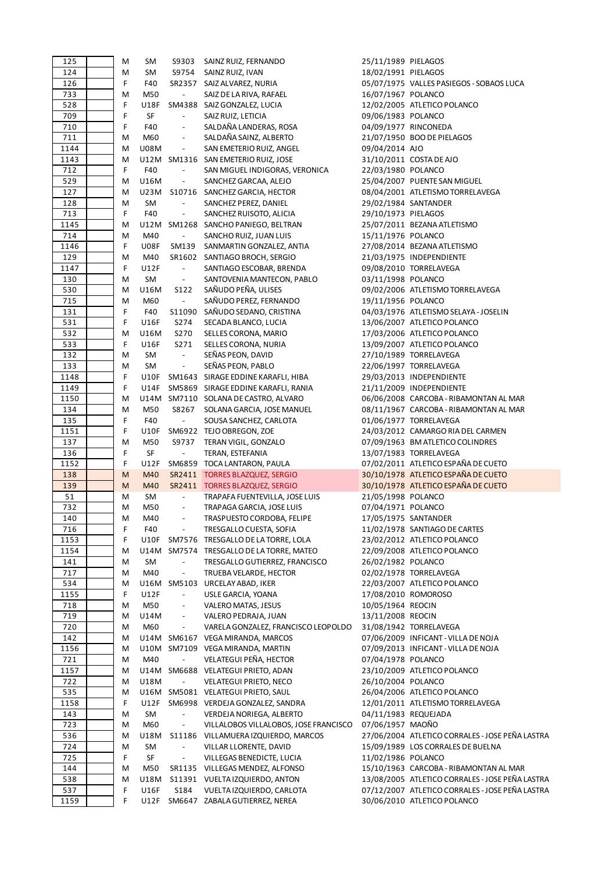| 125         | M      | SM                  | S9303                    | SAINZ RUIZ, FERNANDO                                        | 25/11/1989 PIELAGOS  |                                                                                |
|-------------|--------|---------------------|--------------------------|-------------------------------------------------------------|----------------------|--------------------------------------------------------------------------------|
| 124         | M      | SM                  | S9754                    | SAINZ RUIZ, IVAN                                            | 18/02/1991 PIELAGOS  |                                                                                |
| 126         | F      | F40                 |                          | SR2357 SAIZ ALVAREZ, NURIA                                  |                      | 05/07/1975 VALLES PASIEGOS - SOBAOS LUCA                                       |
| 733         | M      | M50                 | $\blacksquare$           | SAIZ DE LA RIVA, RAFAEL                                     | 16/07/1967 POLANCO   |                                                                                |
| 528         | F      | U18F                |                          | SM4388 SAIZ GONZALEZ, LUCIA                                 |                      | 12/02/2005 ATLETICO POLANCO                                                    |
| 709         | F      | SF                  | $\blacksquare$           | SAIZ RUIZ, LETICIA                                          | 09/06/1983 POLANCO   |                                                                                |
|             | F      | F40                 |                          | SALDAÑA LANDERAS, ROSA                                      |                      | 04/09/1977 RINCONEDA                                                           |
| 710         |        |                     |                          |                                                             |                      |                                                                                |
| 711         | M      | M60                 | $\overline{\phantom{a}}$ | SALDAÑA SAINZ, ALBERTO                                      |                      | 21/07/1950 BOO DE PIELAGOS                                                     |
| 1144        | M      | <b>U08M</b>         | $\Box$                   | SAN EMETERIO RUIZ, ANGEL                                    | 09/04/2014 AJO       |                                                                                |
| 1143        | M      |                     |                          | U12M SM1316 SAN EMETERIO RUIZ, JOSE                         |                      | 31/10/2011 COSTA DE AJO                                                        |
| 712         | F      | F40                 | $\overline{\phantom{a}}$ | SAN MIGUEL INDIGORAS, VERONICA                              | 22/03/1980 POLANCO   |                                                                                |
| 529         | M      | U16M                | $\overline{\phantom{a}}$ | SANCHEZ GARCAA, ALEJO                                       |                      | 25/04/2007 PUENTE SAN MIGUEL                                                   |
| 127         | M      | U23M                |                          | S10716 SANCHEZ GARCIA, HECTOR                               |                      | 08/04/2001 ATLETISMO TORRELAVEGA                                               |
| 128         | M      | SM                  | $\overline{\phantom{a}}$ | SANCHEZ PEREZ, DANIEL                                       |                      | 29/02/1984 SANTANDER                                                           |
| 713         | F      | F40                 | $\overline{\phantom{a}}$ | SANCHEZ RUISOTO, ALICIA                                     | 29/10/1973 PIELAGOS  |                                                                                |
| 1145        | M      |                     |                          | U12M SM1268 SANCHO PANIEGO, BELTRAN                         |                      | 25/07/2011 BEZANA ATLETISMO                                                    |
| 714         | M      | M40                 | $\blacksquare$           | SANCHO RUIZ, JUAN LUIS                                      | 15/11/1976 POLANCO   |                                                                                |
|             |        |                     |                          |                                                             |                      |                                                                                |
| 1146        | F      | <b>U08F</b>         | SM139                    | SANMARTIN GONZALEZ, ANTIA                                   |                      | 27/08/2014 BEZANA ATLETISMO                                                    |
| 129         | M      | M40                 |                          | SR1602 SANTIAGO BROCH, SERGIO                               |                      | 21/03/1975 INDEPENDIENTE                                                       |
| 1147        | F      | U12F                | $\blacksquare$           | SANTIAGO ESCOBAR, BRENDA                                    |                      | 09/08/2010 TORRELAVEGA                                                         |
| 130         | M      | SM                  | $\blacksquare$           | SANTOVENIA MANTECON, PABLO                                  | 03/11/1998 POLANCO   |                                                                                |
| 530         | M      | U16M                | S122                     | SAÑUDO PEÑA, ULISES                                         |                      | 09/02/2006 ATLETISMO TORRELAVEGA                                               |
| 715         | M      | M60                 | $\overline{\phantom{a}}$ | SAÑUDO PEREZ, FERNANDO                                      | 19/11/1956 POLANCO   |                                                                                |
| 131         | F      | F40                 |                          | S11090 SAÑUDO SEDANO, CRISTINA                              |                      | 04/03/1976 ATLETISMO SELAYA - JOSELIN                                          |
| 531         | F      | U16F                | S274                     | SECADA BLANCO, LUCIA                                        |                      | 13/06/2007 ATLETICO POLANCO                                                    |
| 532         | M      | U16M                | S270                     | SELLES CORONA, MARIO                                        |                      | 17/03/2006 ATLETICO POLANCO                                                    |
| 533         | F      | U16F                | S271                     | SELLES CORONA, NURIA                                        |                      | 13/09/2007 ATLETICO POLANCO                                                    |
| 132         | M      | SM                  | $\overline{\phantom{a}}$ | SEÑAS PEON, DAVID                                           |                      | 27/10/1989 TORRELAVEGA                                                         |
|             |        |                     |                          |                                                             |                      |                                                                                |
| 133         | Μ      | SM                  | $\Box$                   | SEÑAS PEON, PABLO                                           |                      | 22/06/1997 TORRELAVEGA                                                         |
| 1148        | F      |                     |                          | U10F SM1643 SIRAGE EDDINE KARAFLI, HIBA                     |                      | 29/03/2013 INDEPENDIENTE                                                       |
| 1149        | F      | U14F                |                          | SM5869 SIRAGE EDDINE KARAFLI, RANIA                         |                      | 21/11/2009 INDEPENDIENTE                                                       |
| 1150        | M      |                     |                          | U14M SM7110 SOLANA DE CASTRO, ALVARO                        |                      | 06/06/2008 CARCOBA - RIBAMONTAN AL MAR                                         |
| 134         | Μ      | M50                 | S8267                    | SOLANA GARCIA, JOSE MANUEL                                  |                      | 08/11/1967 CARCOBA - RIBAMONTAN AL MAR                                         |
| 135         | F      | F40                 | $\overline{\phantom{a}}$ | SOUSA SANCHEZ, CARLOTA                                      |                      | 01/06/1977 TORRELAVEGA                                                         |
| 1151        | F      | U10F                |                          | SM6922 TEJO OBREGON, ZOE                                    |                      | 24/03/2012 CAMARGO RIA DEL CARMEN                                              |
| 137         | M      | M50                 |                          | S9737 TERAN VIGIL, GONZALO                                  |                      | 07/09/1963 BM ATLETICO COLINDRES                                               |
| 136         | F      | SF                  | $\blacksquare$           | TERAN, ESTEFANIA                                            |                      | 13/07/1983 TORRELAVEGA                                                         |
| 1152        | F      | U12F                |                          | SM6859 TOCA LANTARON, PAULA                                 |                      | 07/02/2011 ATLETICO ESPAÑA DE CUETO                                            |
| 138         |        |                     |                          |                                                             |                      | 30/10/1978 ATLETICO ESPAÑA DE CUETO                                            |
| 139         |        |                     |                          |                                                             |                      |                                                                                |
|             | M      | M40                 |                          | SR2411 TORRES BLAZQUEZ, SERGIO                              |                      |                                                                                |
|             | M      | M40                 |                          | SR2411 TORRES BLAZQUEZ, SERGIO                              |                      | 30/10/1978 ATLETICO ESPAÑA DE CUETO                                            |
| 51          | м      | SM                  | $\overline{\phantom{a}}$ | TRAPAFA FUENTEVILLA, JOSE LUIS                              | 21/05/1998 POLANCO   |                                                                                |
| 732         | M      | M50                 | $\overline{\phantom{a}}$ | TRAPAGA GARCIA, JOSE LUIS                                   | 07/04/1971 POLANCO   |                                                                                |
| 140         | M      | M40                 |                          | TRASPUESTO CORDOBA, FELIPE                                  |                      | 17/05/1975 SANTANDER                                                           |
| 716         | F      | F40                 | $\overline{\phantom{a}}$ | TRESGALLO CUESTA, SOFIA                                     |                      | 11/02/1978 SANTIAGO DE CARTES                                                  |
| 1153        | F      | U10F                |                          | SM7576 TRESGALLO DE LA TORRE, LOLA                          |                      | 23/02/2012 ATLETICO POLANCO                                                    |
| 1154        | M      |                     |                          | U14M SM7574 TRESGALLO DE LA TORRE, MATEO                    |                      | 22/09/2008 ATLETICO POLANCO                                                    |
| 141         | Μ      | SM                  | $\overline{\phantom{a}}$ | TRESGALLO GUTIERREZ, FRANCISCO                              | 26/02/1982 POLANCO   |                                                                                |
| 717         | М      | M40                 | $\overline{\phantom{a}}$ | TRUEBA VELARDE, HECTOR                                      |                      | 02/02/1978 TORRELAVEGA                                                         |
| 534         | Μ      |                     |                          | U16M SM5103 URCELAY ABAD, IKER                              |                      | 22/03/2007 ATLETICO POLANCO                                                    |
|             | F      |                     | $\blacksquare$           |                                                             |                      | 17/08/2010 ROMOROSO                                                            |
| 1155        |        | U12F                |                          | USLE GARCIA, YOANA                                          |                      |                                                                                |
| 718         | Μ      | M50                 |                          | VALERO MATAS, JESUS                                         | 10/05/1964 REOCIN    |                                                                                |
| 719         | Μ      | U14M                | $\overline{\phantom{a}}$ | VALERO PEDRAJA, JUAN                                        | 13/11/2008 REOCIN    |                                                                                |
| 720         | Μ      | M60                 | $\blacksquare$           | VARELA GONZALEZ, FRANCISCO LEOPOLDO                         |                      | 31/08/1942 TORRELAVEGA                                                         |
| 142         | M      |                     |                          | U14M SM6167 VEGA MIRANDA, MARCOS                            |                      | 07/06/2009 INFICANT - VILLA DE NOJA                                            |
| 1156        | M      |                     |                          | U10M SM7109 VEGA MIRANDA, MARTIN                            |                      | 07/09/2013 INFICANT - VILLA DE NOJA                                            |
| 721         | Μ      | M40                 | $\overline{\phantom{0}}$ | VELATEGUI PEÑA, HECTOR                                      | 07/04/1978 POLANCO   |                                                                                |
| 1157        | Μ      |                     |                          | U14M SM6688 VELATEGUI PRIETO, ADAN                          |                      | 23/10/2009 ATLETICO POLANCO                                                    |
| 722         | M      | U18M                | $\blacksquare$           | <b>VELATEGUI PRIETO, NECO</b>                               | 26/10/2004 POLANCO   |                                                                                |
| 535         | M      |                     |                          | U16M SM5081 VELATEGUI PRIETO, SAUL                          |                      | 26/04/2006 ATLETICO POLANCO                                                    |
|             | F      | U12F                |                          | SM6998 VERDEJA GONZALEZ, SANDRA                             |                      | 12/01/2011 ATLETISMO TORRELAVEGA                                               |
| 1158        |        |                     |                          |                                                             |                      |                                                                                |
| 143         | М      | SM                  | $\overline{\phantom{a}}$ | VERDEJA NORIEGA, ALBERTO                                    | 04/11/1983 REQUEJADA |                                                                                |
| 723         | М      | M60                 | $\blacksquare$           | VILLALOBOS VILLALOBOS, JOSE FRANCISCO                       | 07/06/1957 MAOÑO     |                                                                                |
| 536         | Μ      | U18M                |                          | S11186 VILLAMUERA IZQUIERDO, MARCOS                         |                      | 27/06/2004 ATLETICO CORRALES - JOSE PEÑA LASTRA                                |
| 724         | M      | SM                  | $\overline{\phantom{a}}$ | VILLAR LLORENTE, DAVID                                      |                      | 15/09/1989 LOS CORRALES DE BUELNA                                              |
| 725         | F      | SF                  | $\Box$                   | VILLEGAS BENEDICTE, LUCIA                                   | 11/02/1986 POLANCO   |                                                                                |
| 144         | Μ      | M50                 |                          | SR1135 VILLEGAS MENDEZ, ALFONSO                             |                      | 15/10/1963 CARCOBA - RIBAMONTAN AL MAR                                         |
| 538         | M      | U18M                |                          | S11391 VUELTA IZQUIERDO, ANTON                              |                      | 13/08/2005 ATLETICO CORRALES - JOSE PEÑA LASTRA                                |
| 537<br>1159 | F<br>F | <b>U16F</b><br>U12F | S184                     | VUELTA IZQUIERDO, CARLOTA<br>SM6647 ZABALA GUTIERREZ, NEREA |                      | 07/12/2007 ATLETICO CORRALES - JOSE PEÑA LASTRA<br>30/06/2010 ATLETICO POLANCO |